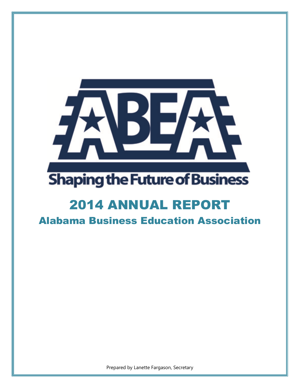

# **Shaping the Future of Business**

## 2014 ANNUAL REPORT

Alabama Business Education Association

Prepared by Lanette Fargason, Secretary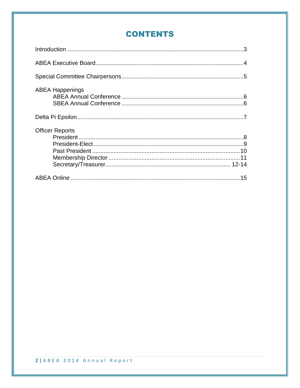## **CONTENTS**

| <b>ABEA Happenings</b> |  |
|------------------------|--|
|                        |  |
| <b>Officer Reports</b> |  |
|                        |  |
|                        |  |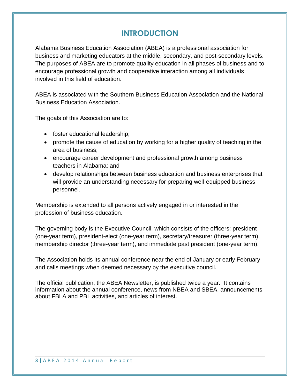## **INTRODUCTION**

Alabama Business Education Association (ABEA) is a professional association for business and marketing educators at the middle, secondary, and post-secondary levels. The purposes of ABEA are to promote quality education in all phases of business and to encourage professional growth and cooperative interaction among all individuals involved in this field of education.

ABEA is associated with the Southern Business Education Association and the National Business Education Association.

The goals of this Association are to:

- foster educational leadership;
- promote the cause of education by working for a higher quality of teaching in the area of business;
- encourage career development and professional growth among business teachers in Alabama; and
- develop relationships between business education and business enterprises that will provide an understanding necessary for preparing well-equipped business personnel.

Membership is extended to all persons actively engaged in or interested in the profession of business education.

The governing body is the Executive Council, which consists of the officers: president (one-year term), president-elect (one-year term), secretary/treasurer (three-year term), membership director (three-year term), and immediate past president (one-year term).

The Association holds its annual conference near the end of January or early February and calls meetings when deemed necessary by the executive council.

The official publication, the ABEA Newsletter, is published twice a year. It contains information about the annual conference, news from NBEA and SBEA, announcements about FBLA and PBL activities, and articles of interest.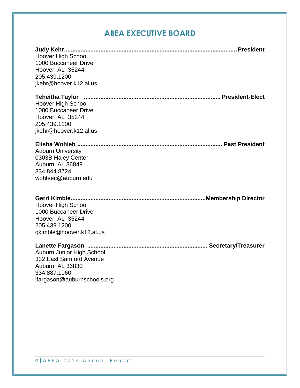## **ABEA EXECUTIVE BOARD**

| Hoover High School<br>1000 Buccaneer Drive<br>Hoover, AL 35244<br>205.439.1200<br>jkehr@hoover.k12.al.us                           |
|------------------------------------------------------------------------------------------------------------------------------------|
| <b>Teheitha Taylor</b><br>Hoover High School<br>1000 Buccaneer Drive<br>Hoover, AL 35244<br>205.439.1200<br>jkehr@hoover.k12.al.us |
| <b>Auburn University</b><br>0303B Haley Center<br>Auburn, AL 36849<br>334.844.8724<br>wohleec@auburn.edu                           |
| <b>Hoover High School</b><br>1000 Buccaneer Drive<br>Hoover, AL 35244<br>205.439.1200<br>gkimble@hoover.k12.al.us                  |
| Auburn Junior High School<br>332 East Samford Avenue<br>Auburn, AL 36830<br>334.887.1960<br>lfargason@auburnschools.org            |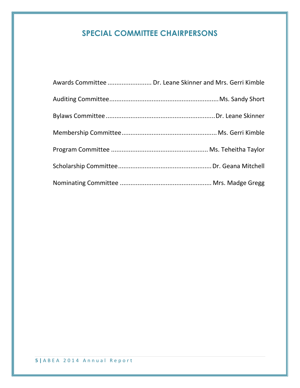## **SPECIAL COMMITTEE CHAIRPERSONS**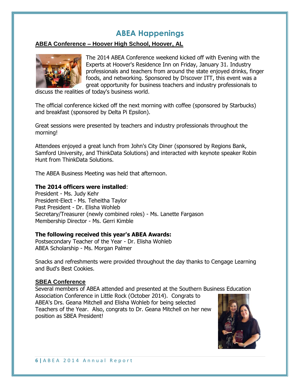## **ABEA Happenings**

#### **ABEA Conference – Hoover High School, Hoover, AL**



The 2014 ABEA Conference weekend kicked off with Evening with the Experts at Hoover's Residence Inn on Friday, January 31. Industry professionals and teachers from around the state enjoyed drinks, finger foods, and networking. Sponsored by D!scover ITT, this event was a great opportunity for business teachers and industry professionals to

discuss the realities of today's business world.

The official conference kicked off the next morning with coffee (sponsored by Starbucks) and breakfast (sponsored by Delta Pi Epsilon).

Great sessions were presented by teachers and industry professionals throughout the morning!

Attendees enjoyed a great lunch from John's City Diner (sponsored by Regions Bank, Samford University, and ThinkData Solutions) and interacted with keynote speaker Robin Hunt from ThinkData Solutions.

The ABEA Business Meeting was held that afternoon.

#### **The 2014 officers were installed**:

President - Ms. Judy Kehr President-Elect - Ms. Teheitha Taylor Past President - Dr. Elisha Wohleb Secretary/Treasurer (newly combined roles) - Ms. Lanette Fargason Membership Director - Ms. Gerri Kimble

#### **The following received this year's ABEA Awards:**

Postsecondary Teacher of the Year - Dr. Elisha Wohleb ABEA Scholarship - Ms. Morgan Palmer

Snacks and refreshments were provided throughout the day thanks to Cengage Learning and Bud's Best Cookies.

#### **SBEA Conference**

Several members of ABEA attended and presented at the Southern Business Education Association Conference in Little Rock (October 2014). Congrats to ABEA's Drs. Geana Mitchell and Elisha Wohleb for being selected Teachers of the Year. Also, congrats to Dr. Geana Mitchell on her new position as SBEA President!

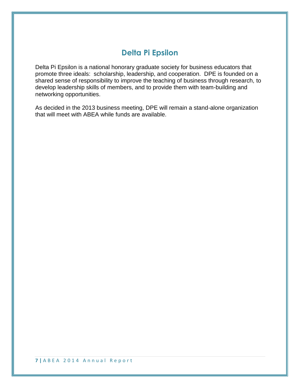## **Delta Pi Epsilon**

Delta Pi Epsilon is a national honorary graduate society for business educators that promote three ideals: scholarship, leadership, and cooperation. DPE is founded on a shared sense of responsibility to improve the teaching of business through research, to develop leadership skills of members, and to provide them with team-building and networking opportunities.

As decided in the 2013 business meeting, DPE will remain a stand-alone organization that will meet with ABEA while funds are available.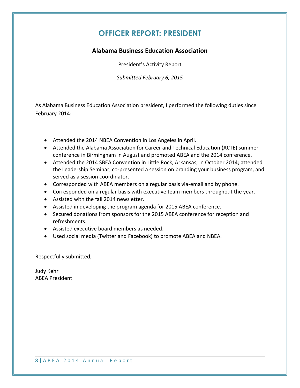## **OFFICER REPORT: PRESIDENT**

#### **Alabama Business Education Association**

President's Activity Report

*Submitted February 6, 2015*

As Alabama Business Education Association president, I performed the following duties since February 2014:

- Attended the 2014 NBEA Convention in Los Angeles in April.
- Attended the Alabama Association for Career and Technical Education (ACTE) summer conference in Birmingham in August and promoted ABEA and the 2014 conference.
- Attended the 2014 SBEA Convention in Little Rock, Arkansas, in October 2014; attended the Leadership Seminar, co-presented a session on branding your business program, and served as a session coordinator.
- Corresponded with ABEA members on a regular basis via-email and by phone.
- Corresponded on a regular basis with executive team members throughout the year.
- Assisted with the fall 2014 newsletter.
- Assisted in developing the program agenda for 2015 ABEA conference.
- Secured donations from sponsors for the 2015 ABEA conference for reception and refreshments.
- Assisted executive board members as needed.
- Used social media (Twitter and Facebook) to promote ABEA and NBEA.

Respectfully submitted,

Judy Kehr ABEA President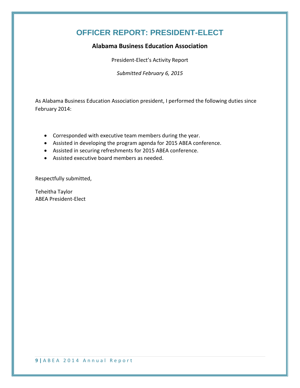## **OFFICER REPORT: PRESIDENT-ELECT**

#### **Alabama Business Education Association**

President-Elect's Activity Report

*Submitted February 6, 2015*

As Alabama Business Education Association president, I performed the following duties since February 2014:

- Corresponded with executive team members during the year.
- Assisted in developing the program agenda for 2015 ABEA conference.
- Assisted in securing refreshments for 2015 ABEA conference.
- Assisted executive board members as needed.

Respectfully submitted,

Teheitha Taylor ABEA President-Elect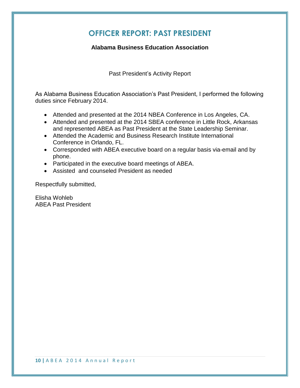## **OFFICER REPORT: PAST PRESIDENT**

#### **Alabama Business Education Association**

Past President's Activity Report

As Alabama Business Education Association's Past President, I performed the following duties since February 2014.

- Attended and presented at the 2014 NBEA Conference in Los Angeles, CA.
- Attended and presented at the 2014 SBEA conference in Little Rock, Arkansas and represented ABEA as Past President at the State Leadership Seminar.
- Attended the Academic and Business Research Institute International Conference in Orlando, FL.
- Corresponded with ABEA executive board on a regular basis via-email and by phone.
- Participated in the executive board meetings of ABEA.
- Assisted and counseled President as needed

Respectfully submitted,

Elisha Wohleb ABEA Past President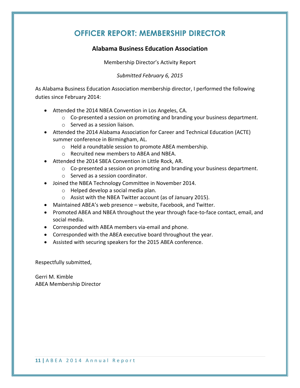## **OFFICER REPORT: MEMBERSHIP DIRECTOR**

#### **Alabama Business Education Association**

Membership Director's Activity Report

#### *Submitted February 6, 2015*

As Alabama Business Education Association membership director, I performed the following duties since February 2014:

- Attended the 2014 NBEA Convention in Los Angeles, CA.
	- $\circ$  Co-presented a session on promoting and branding your business department.
	- o Served as a session liaison.
- Attended the 2014 Alabama Association for Career and Technical Education (ACTE) summer conference in Birmingham, AL.
	- o Held a roundtable session to promote ABEA membership.
	- o Recruited new members to ABEA and NBEA.
- Attended the 2014 SBEA Convention in Little Rock, AR.
	- o Co-presented a session on promoting and branding your business department.
	- o Served as a session coordinator.
- Joined the NBEA Technology Committee in November 2014.
	- o Helped develop a social media plan.
	- o Assist with the NBEA Twitter account (as of January 2015).
- Maintained ABEA's web presence website, Facebook, and Twitter.
- Promoted ABEA and NBEA throughout the year through face-to-face contact, email, and social media.
- Corresponded with ABEA members via-email and phone.
- Corresponded with the ABEA executive board throughout the year.
- Assisted with securing speakers for the 2015 ABEA conference.

Respectfully submitted,

Gerri M. Kimble ABEA Membership Director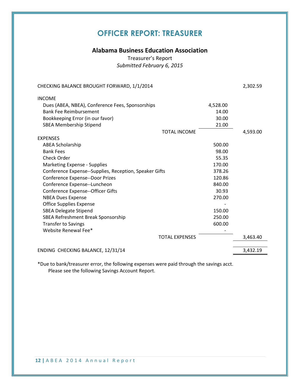## **OFFICER REPORT: TREASURER**

#### **Alabama Business Education Association**

Treasurer's Report *Submitted February 6, 2015*

| <b>INCOME</b><br>Dues (ABEA, NBEA), Conference Fees, Sponsorships<br>4,528.00<br><b>Bank Fee Reimbursement</b><br>14.00<br>Bookkeeping Error (in our favor)<br>30.00<br><b>SBEA Membership Stipend</b><br>21.00<br><b>TOTAL INCOME</b><br>4,593.00<br><b>EXPENSES</b><br><b>ABEA Scholarship</b><br>500.00<br><b>Bank Fees</b><br>98.00<br>Check Order<br>55.35<br>170.00<br>Marketing Expense - Supplies<br>Conference Expense--Supplies, Reception, Speaker Gifts<br>378.26<br>Conference Expense--Door Prizes<br>120.86<br>Conference Expense--Luncheon<br>840.00<br>Conference Expense--Officer Gifts<br>30.93<br><b>NBEA Dues Expense</b><br>270.00<br><b>Office Supplies Expense</b><br><b>SBEA Delegate Stipend</b><br>150.00<br>SBEA Refreshment Break Sponsorship<br>250.00<br><b>Transfer to Savings</b><br>600.00<br>Website Renewal Fee*<br><b>TOTAL EXPENSES</b><br>3,463.40<br>3,432.19<br>ENDING CHECKING BALANCE, 12/31/14 | CHECKING BALANCE BROUGHT FORWARD, 1/1/2014 | 2,302.59 |
|--------------------------------------------------------------------------------------------------------------------------------------------------------------------------------------------------------------------------------------------------------------------------------------------------------------------------------------------------------------------------------------------------------------------------------------------------------------------------------------------------------------------------------------------------------------------------------------------------------------------------------------------------------------------------------------------------------------------------------------------------------------------------------------------------------------------------------------------------------------------------------------------------------------------------------------------|--------------------------------------------|----------|
|                                                                                                                                                                                                                                                                                                                                                                                                                                                                                                                                                                                                                                                                                                                                                                                                                                                                                                                                            |                                            |          |
|                                                                                                                                                                                                                                                                                                                                                                                                                                                                                                                                                                                                                                                                                                                                                                                                                                                                                                                                            |                                            |          |
|                                                                                                                                                                                                                                                                                                                                                                                                                                                                                                                                                                                                                                                                                                                                                                                                                                                                                                                                            |                                            |          |
|                                                                                                                                                                                                                                                                                                                                                                                                                                                                                                                                                                                                                                                                                                                                                                                                                                                                                                                                            |                                            |          |
|                                                                                                                                                                                                                                                                                                                                                                                                                                                                                                                                                                                                                                                                                                                                                                                                                                                                                                                                            |                                            |          |
|                                                                                                                                                                                                                                                                                                                                                                                                                                                                                                                                                                                                                                                                                                                                                                                                                                                                                                                                            |                                            |          |
|                                                                                                                                                                                                                                                                                                                                                                                                                                                                                                                                                                                                                                                                                                                                                                                                                                                                                                                                            |                                            |          |
|                                                                                                                                                                                                                                                                                                                                                                                                                                                                                                                                                                                                                                                                                                                                                                                                                                                                                                                                            |                                            |          |
|                                                                                                                                                                                                                                                                                                                                                                                                                                                                                                                                                                                                                                                                                                                                                                                                                                                                                                                                            |                                            |          |
|                                                                                                                                                                                                                                                                                                                                                                                                                                                                                                                                                                                                                                                                                                                                                                                                                                                                                                                                            |                                            |          |
|                                                                                                                                                                                                                                                                                                                                                                                                                                                                                                                                                                                                                                                                                                                                                                                                                                                                                                                                            |                                            |          |
|                                                                                                                                                                                                                                                                                                                                                                                                                                                                                                                                                                                                                                                                                                                                                                                                                                                                                                                                            |                                            |          |
|                                                                                                                                                                                                                                                                                                                                                                                                                                                                                                                                                                                                                                                                                                                                                                                                                                                                                                                                            |                                            |          |
|                                                                                                                                                                                                                                                                                                                                                                                                                                                                                                                                                                                                                                                                                                                                                                                                                                                                                                                                            |                                            |          |
|                                                                                                                                                                                                                                                                                                                                                                                                                                                                                                                                                                                                                                                                                                                                                                                                                                                                                                                                            |                                            |          |
|                                                                                                                                                                                                                                                                                                                                                                                                                                                                                                                                                                                                                                                                                                                                                                                                                                                                                                                                            |                                            |          |
|                                                                                                                                                                                                                                                                                                                                                                                                                                                                                                                                                                                                                                                                                                                                                                                                                                                                                                                                            |                                            |          |
|                                                                                                                                                                                                                                                                                                                                                                                                                                                                                                                                                                                                                                                                                                                                                                                                                                                                                                                                            |                                            |          |
|                                                                                                                                                                                                                                                                                                                                                                                                                                                                                                                                                                                                                                                                                                                                                                                                                                                                                                                                            |                                            |          |
|                                                                                                                                                                                                                                                                                                                                                                                                                                                                                                                                                                                                                                                                                                                                                                                                                                                                                                                                            |                                            |          |
|                                                                                                                                                                                                                                                                                                                                                                                                                                                                                                                                                                                                                                                                                                                                                                                                                                                                                                                                            |                                            |          |
|                                                                                                                                                                                                                                                                                                                                                                                                                                                                                                                                                                                                                                                                                                                                                                                                                                                                                                                                            |                                            |          |
|                                                                                                                                                                                                                                                                                                                                                                                                                                                                                                                                                                                                                                                                                                                                                                                                                                                                                                                                            |                                            |          |

\*Due to bank/treasurer error, the following expenses were paid through the savings acct. Please see the following Savings Account Report.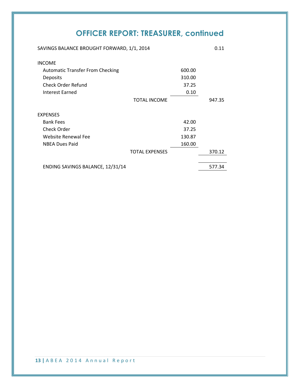## **OFFICER REPORT: TREASURER, continued**

| SAVINGS BALANCE BROUGHT FORWARD, 1/1, 2014 |        | 0.11   |
|--------------------------------------------|--------|--------|
| <b>INCOME</b>                              |        |        |
| <b>Automatic Transfer From Checking</b>    | 600.00 |        |
| Deposits                                   | 310.00 |        |
| <b>Check Order Refund</b>                  | 37.25  |        |
| Interest Earned                            | 0.10   |        |
| <b>TOTAL INCOME</b>                        |        | 947.35 |
| <b>EXPENSES</b>                            |        |        |
| <b>Bank Fees</b>                           | 42.00  |        |
| Check Order                                | 37.25  |        |
| <b>Website Renewal Fee</b>                 | 130.87 |        |
| <b>NBEA Dues Paid</b>                      | 160.00 |        |
| <b>TOTAL EXPENSES</b>                      |        | 370.12 |
| ENDING SAVINGS BALANCE, 12/31/14           |        | 577.34 |

**13 |** A B E A 2 0 1 4 A n n u a l R e p o r t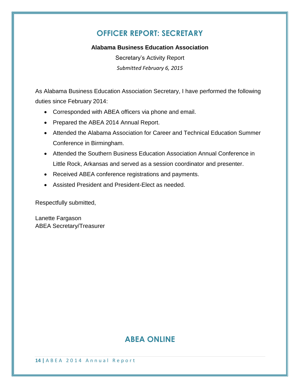## **OFFICER REPORT: SECRETARY**

#### **Alabama Business Education Association**

Secretary's Activity Report *Submitted February 6, 2015*

As Alabama Business Education Association Secretary, I have performed the following duties since February 2014:

- Corresponded with ABEA officers via phone and email.
- Prepared the ABEA 2014 Annual Report.
- Attended the Alabama Association for Career and Technical Education Summer Conference in Birmingham.
- Attended the Southern Business Education Association Annual Conference in Little Rock, Arkansas and served as a session coordinator and presenter.
- Received ABEA conference registrations and payments.
- Assisted President and President-Elect as needed.

Respectfully submitted,

Lanette Fargason ABEA Secretary/Treasurer

## **ABEA ONLINE**

**14 |** A B E A 2 0 1 4 A n n u a l R e p o r t